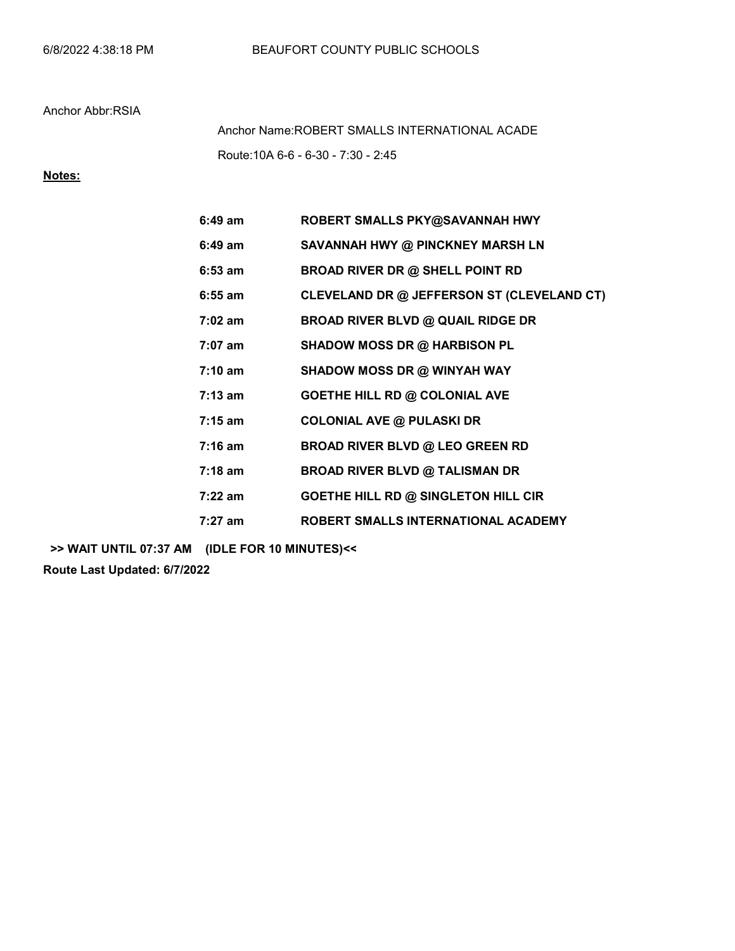Route:10A 6-6 - 6-30 - 7:30 - 2:45 Anchor Name:ROBERT SMALLS INTERNATIONAL ACADE

Notes:

| $6:49$ am         | ROBERT SMALLS PKY@SAVANNAH HWY             |
|-------------------|--------------------------------------------|
| $6:49$ am         | SAVANNAH HWY @ PINCKNEY MARSH LN           |
| $6:53$ am         | <b>BROAD RIVER DR @ SHELL POINT RD</b>     |
| $6:55$ am         | CLEVELAND DR @ JEFFERSON ST (CLEVELAND CT) |
| $7:02 \text{ am}$ | <b>BROAD RIVER BLVD @ QUAIL RIDGE DR</b>   |
| $7:07$ am         | <b>SHADOW MOSS DR @ HARBISON PL</b>        |
| $7:10 \text{ am}$ | SHADOW MOSS DR @ WINYAH WAY                |
| $7:13$ am         | <b>GOETHE HILL RD @ COLONIAL AVE</b>       |
| $7:15$ am         | <b>COLONIAL AVE @ PULASKI DR</b>           |
| $7:16$ am         | <b>BROAD RIVER BLVD @ LEO GREEN RD</b>     |
| $7:18$ am         | <b>BROAD RIVER BLVD @ TALISMAN DR</b>      |
| $7:22$ am         | <b>GOETHE HILL RD @ SINGLETON HILL CIR</b> |
| $7:27$ am         | ROBERT SMALLS INTERNATIONAL ACADEMY        |

>> WAIT UNTIL 07:37 AM (IDLE FOR 10 MINUTES)<<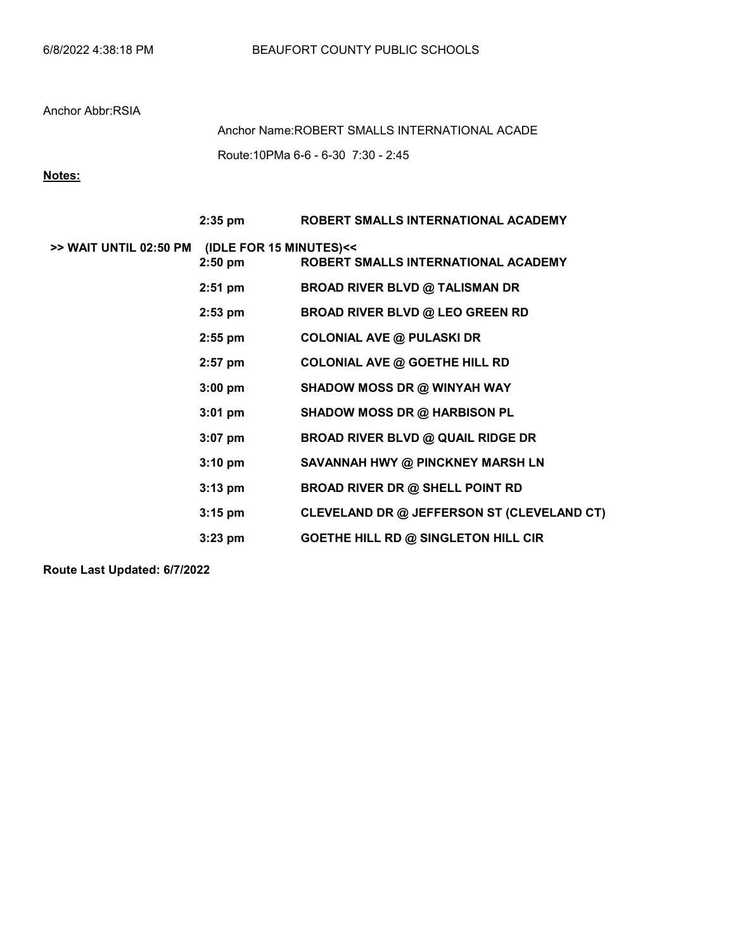Route:10PMa 6-6 - 6-30 7:30 - 2:45 Anchor Name:ROBERT SMALLS INTERNATIONAL ACADE

# Notes:

|                        | $2:35$ pm                            | ROBERT SMALLS INTERNATIONAL ACADEMY        |
|------------------------|--------------------------------------|--------------------------------------------|
| >> WAIT UNTIL 02:50 PM | (IDLE FOR 15 MINUTES)<<<br>$2:50$ pm | ROBERT SMALLS INTERNATIONAL ACADEMY        |
|                        | $2:51$ pm                            | <b>BROAD RIVER BLVD @ TALISMAN DR</b>      |
|                        | $2:53$ pm                            | <b>BROAD RIVER BLVD @ LEO GREEN RD</b>     |
|                        | $2:55$ pm                            | <b>COLONIAL AVE @ PULASKI DR</b>           |
|                        | $2:57$ pm                            | <b>COLONIAL AVE @ GOETHE HILL RD</b>       |
|                        | $3:00$ pm                            | <b>SHADOW MOSS DR @ WINYAH WAY</b>         |
|                        | $3:01$ pm                            | <b>SHADOW MOSS DR @ HARBISON PL</b>        |
|                        | $3:07$ pm                            | <b>BROAD RIVER BLVD @ QUAIL RIDGE DR</b>   |
|                        | $3:10 \text{ pm}$                    | SAVANNAH HWY @ PINCKNEY MARSH LN           |
|                        | $3:13$ pm                            | <b>BROAD RIVER DR @ SHELL POINT RD</b>     |
|                        | $3:15$ pm                            | CLEVELAND DR @ JEFFERSON ST (CLEVELAND CT) |
|                        | $3:23$ pm                            | <b>GOETHE HILL RD @ SINGLETON HILL CIR</b> |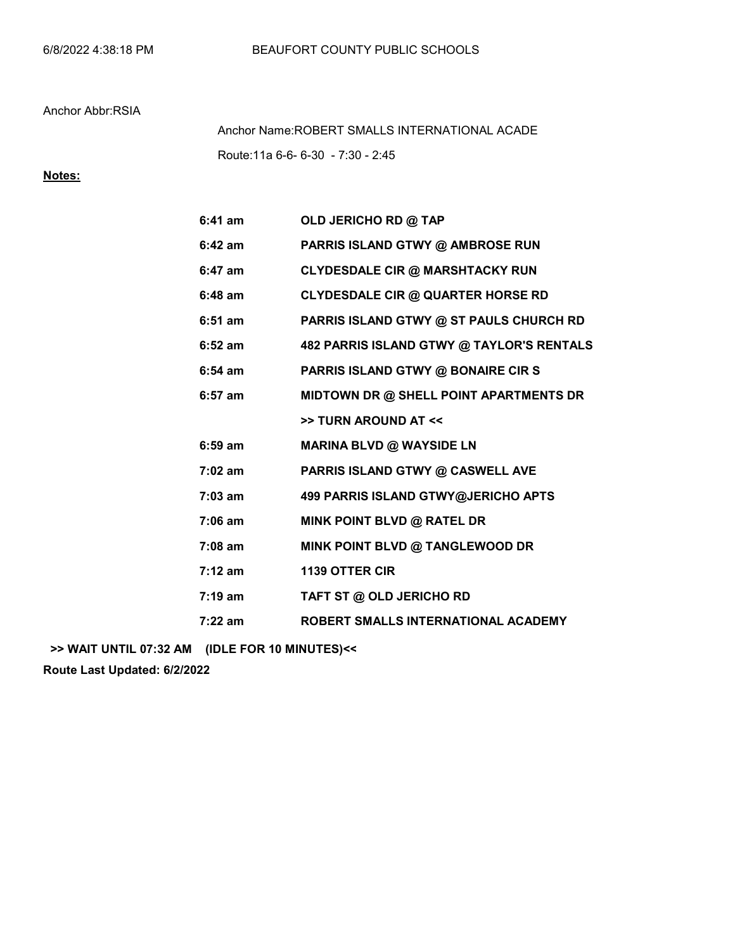Route:11a 6-6- 6-30 - 7:30 - 2:45 Anchor Name:ROBERT SMALLS INTERNATIONAL ACADE

# Notes:

| $6:41$ am         | OLD JERICHO RD @ TAP                      |
|-------------------|-------------------------------------------|
| $6:42$ am         | PARRIS ISLAND GTWY @ AMBROSE RUN          |
| 6:47 am           | <b>CLYDESDALE CIR @ MARSHTACKY RUN</b>    |
| $6:48$ am         | <b>CLYDESDALE CIR @ QUARTER HORSE RD</b>  |
| $6:51$ am         | PARRIS ISLAND GTWY @ ST PAULS CHURCH RD   |
| $6:52$ am         | 482 PARRIS ISLAND GTWY @ TAYLOR'S RENTALS |
| $6:54$ am         | PARRIS ISLAND GTWY @ BONAIRE CIRS         |
| $6:57$ am         | MIDTOWN DR @ SHELL POINT APARTMENTS DR    |
|                   | >> TURN AROUND AT <<                      |
| $6:59$ am         | <b>MARINA BLVD @ WAYSIDE LN</b>           |
| $7:02$ am         | PARRIS ISLAND GTWY @ CASWELL AVE          |
| $7:03$ am         | 499 PARRIS ISLAND GTWY@JERICHO APTS       |
| $7:06$ am         | MINK POINT BLVD @ RATEL DR                |
| $7:08$ am         | MINK POINT BLVD @ TANGLEWOOD DR           |
| $7:12 \text{ am}$ | <b>1139 OTTER CIR</b>                     |
| $7:19 \text{ am}$ | TAFT ST @ OLD JERICHO RD                  |
| $7:22 \text{ am}$ | ROBERT SMALLS INTERNATIONAL ACADEMY       |
|                   |                                           |

>> WAIT UNTIL 07:32 AM (IDLE FOR 10 MINUTES)<<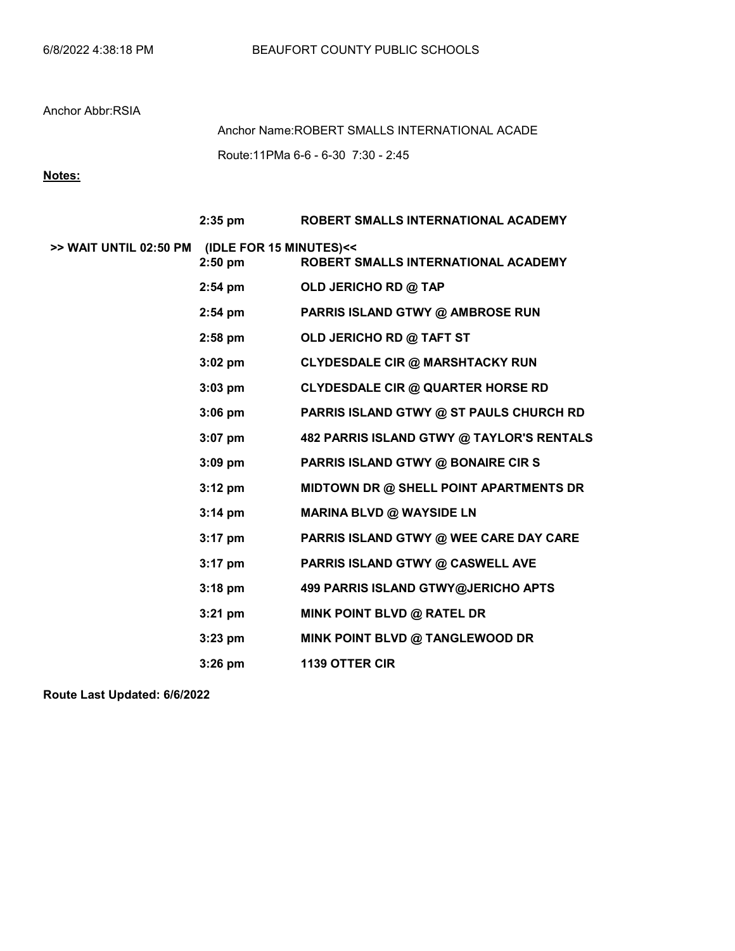Route:11PMa 6-6 - 6-30 7:30 - 2:45 Anchor Name:ROBERT SMALLS INTERNATIONAL ACADE

# Notes:

|                                                | $2:35$ pm         | ROBERT SMALLS INTERNATIONAL ACADEMY       |
|------------------------------------------------|-------------------|-------------------------------------------|
| >> WAIT UNTIL 02:50 PM (IDLE FOR 15 MINUTES)<< | $2:50$ pm         | ROBERT SMALLS INTERNATIONAL ACADEMY       |
|                                                | $2:54 \text{ pm}$ | OLD JERICHO RD @ TAP                      |
|                                                | $2:54$ pm         | PARRIS ISLAND GTWY @ AMBROSE RUN          |
|                                                | $2:58$ pm         | OLD JERICHO RD @ TAFT ST                  |
|                                                | $3:02$ pm         | <b>CLYDESDALE CIR @ MARSHTACKY RUN</b>    |
|                                                | $3:03$ pm         | <b>CLYDESDALE CIR @ QUARTER HORSE RD</b>  |
|                                                | $3:06$ pm         | PARRIS ISLAND GTWY @ ST PAULS CHURCH RD   |
|                                                | $3:07$ pm         | 482 PARRIS ISLAND GTWY @ TAYLOR'S RENTALS |
|                                                | $3:09$ pm         | PARRIS ISLAND GTWY @ BONAIRE CIRS         |
|                                                | $3:12$ pm         | MIDTOWN DR @ SHELL POINT APARTMENTS DR    |
|                                                | $3:14$ pm         | <b>MARINA BLVD @ WAYSIDE LN</b>           |
|                                                | $3:17$ pm         | PARRIS ISLAND GTWY @ WEE CARE DAY CARE    |
|                                                | $3:17$ pm         | PARRIS ISLAND GTWY @ CASWELL AVE          |
|                                                | $3:18$ pm         | 499 PARRIS ISLAND GTWY@JERICHO APTS       |
|                                                | $3:21$ pm         | MINK POINT BLVD @ RATEL DR                |
|                                                | $3:23$ pm         | MINK POINT BLVD @ TANGLEWOOD DR           |
|                                                | $3:26$ pm         | 1139 OTTER CIR                            |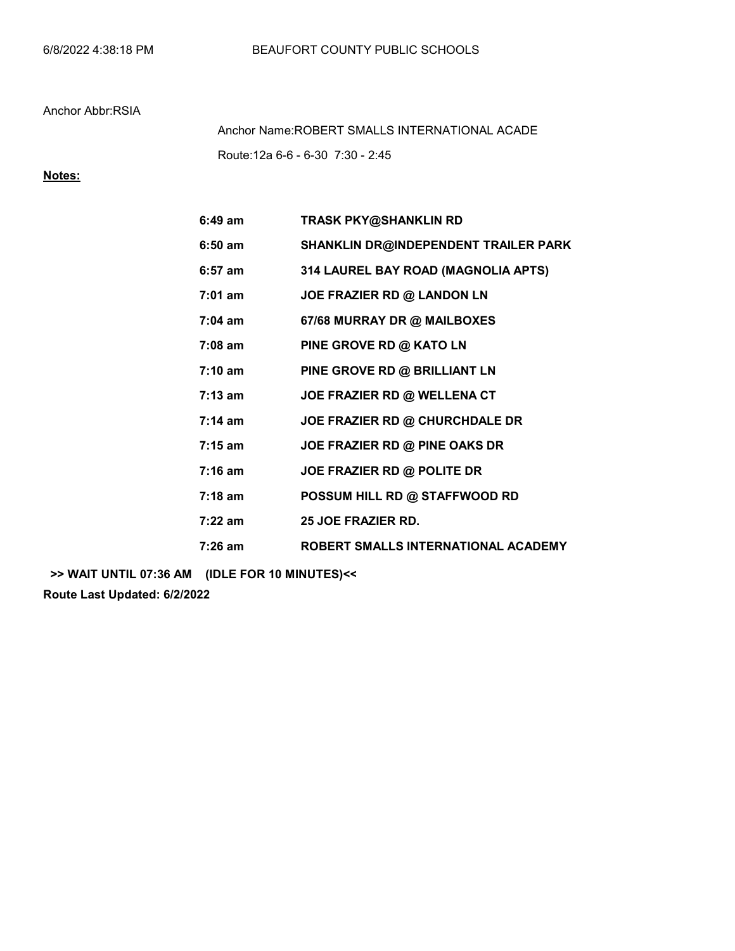Route:12a 6-6 - 6-30 7:30 - 2:45 Anchor Name:ROBERT SMALLS INTERNATIONAL ACADE

# Notes:

| $6:49$ am         | <b>TRASK PKY@SHANKLIN RD</b>         |
|-------------------|--------------------------------------|
| $6:50$ am         | SHANKLIN DR@INDEPENDENT TRAILER PARK |
| $6:57$ am         | 314 LAUREL BAY ROAD (MAGNOLIA APTS)  |
| $7:01$ am         | JOE FRAZIER RD @ LANDON LN           |
| $7:04 \text{ am}$ | 67/68 MURRAY DR @ MAILBOXES          |
| $7:08$ am         | PINE GROVE RD @ KATO LN              |
| $7:10 \text{ am}$ | PINE GROVE RD @ BRILLIANT LN         |
| $7:13$ am         | JOE FRAZIER RD @ WELLENA CT          |
| $7:14$ am         | JOE FRAZIER RD @ CHURCHDALE DR       |
| $7:15 \text{ am}$ | JOE FRAZIER RD @ PINE OAKS DR        |
| $7:16$ am         | JOE FRAZIER RD @ POLITE DR           |
| $7:18 \text{ am}$ | POSSUM HILL RD @ STAFFWOOD RD        |
| $7:22 \text{ am}$ | 25 JOE FRAZIER RD.                   |
| $7:26$ am         | ROBERT SMALLS INTERNATIONAL ACADEMY  |

>> WAIT UNTIL 07:36 AM (IDLE FOR 10 MINUTES)<<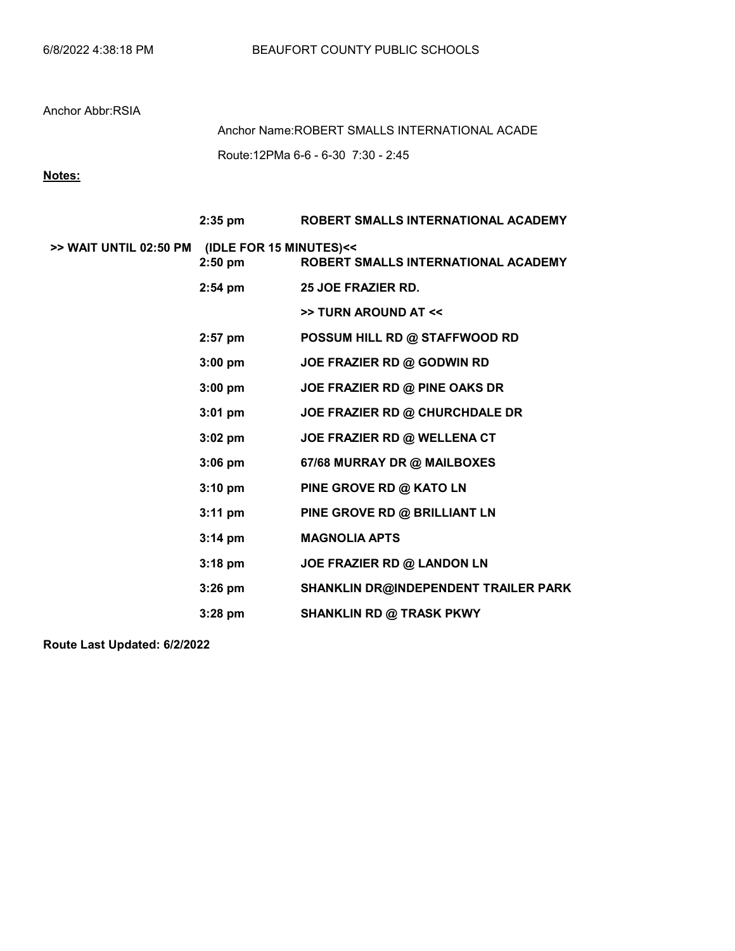Route:12PMa 6-6 - 6-30 7:30 - 2:45 Anchor Name:ROBERT SMALLS INTERNATIONAL ACADE

Notes:

|                                                | $2:35$ pm         | ROBERT SMALLS INTERNATIONAL ACADEMY  |
|------------------------------------------------|-------------------|--------------------------------------|
| >> WAIT UNTIL 02:50 PM (IDLE FOR 15 MINUTES)<< | $2:50$ pm         | ROBERT SMALLS INTERNATIONAL ACADEMY  |
|                                                | $2:54$ pm         | 25 JOE FRAZIER RD.                   |
|                                                |                   | >> TURN AROUND AT <<                 |
|                                                | $2:57$ pm         | POSSUM HILL RD @ STAFFWOOD RD        |
|                                                | $3:00 \text{ pm}$ | JOE FRAZIER RD @ GODWIN RD           |
|                                                | $3:00 \text{ pm}$ | JOE FRAZIER RD @ PINE OAKS DR        |
|                                                | $3:01$ pm         | JOE FRAZIER RD @ CHURCHDALE DR       |
|                                                | $3:02$ pm         | JOE FRAZIER RD @ WELLENA CT          |
|                                                | $3:06$ pm         | 67/68 MURRAY DR @ MAILBOXES          |
|                                                | $3:10 \text{ pm}$ | PINE GROVE RD @ KATO LN              |
|                                                | $3:11 \text{ pm}$ | PINE GROVE RD @ BRILLIANT LN         |
|                                                | $3:14 \text{ pm}$ | <b>MAGNOLIA APTS</b>                 |
|                                                | $3:18$ pm         | JOE FRAZIER RD @ LANDON LN           |
|                                                | $3:26$ pm         | SHANKLIN DR@INDEPENDENT TRAILER PARK |
|                                                | $3:28$ pm         | <b>SHANKLIN RD @ TRASK PKWY</b>      |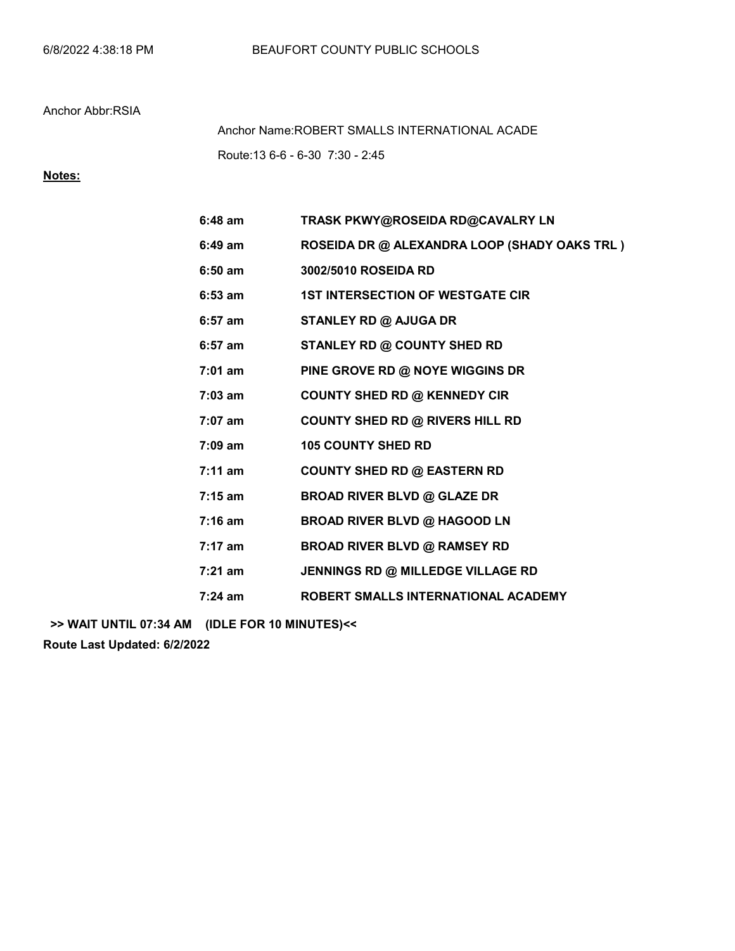Route:13 6-6 - 6-30 7:30 - 2:45 Anchor Name:ROBERT SMALLS INTERNATIONAL ACADE

# Notes:

| $6:48$ am | TRASK PKWY@ROSEIDA RD@CAVALRY LN             |
|-----------|----------------------------------------------|
| $6:49$ am | ROSEIDA DR @ ALEXANDRA LOOP (SHADY OAKS TRL) |
| $6:50$ am | 3002/5010 ROSEIDA RD                         |
| $6:53$ am | <b>1ST INTERSECTION OF WESTGATE CIR</b>      |
| $6:57$ am | <b>STANLEY RD @ AJUGA DR</b>                 |
| $6:57$ am | <b>STANLEY RD @ COUNTY SHED RD</b>           |
| $7:01$ am | PINE GROVE RD @ NOYE WIGGINS DR              |
| $7:03$ am | <b>COUNTY SHED RD @ KENNEDY CIR</b>          |
| $7:07$ am | <b>COUNTY SHED RD @ RIVERS HILL RD</b>       |
| $7:09$ am | <b>105 COUNTY SHED RD</b>                    |
| $7:11$ am | <b>COUNTY SHED RD @ EASTERN RD</b>           |
| $7:15$ am | <b>BROAD RIVER BLVD @ GLAZE DR</b>           |
| $7:16$ am | <b>BROAD RIVER BLVD @ HAGOOD LN</b>          |
| $7:17$ am | <b>BROAD RIVER BLVD @ RAMSEY RD</b>          |
| $7:21$ am | JENNINGS RD @ MILLEDGE VILLAGE RD            |
| $7:24$ am | ROBERT SMALLS INTERNATIONAL ACADEMY          |
|           |                                              |

>> WAIT UNTIL 07:34 AM (IDLE FOR 10 MINUTES)<<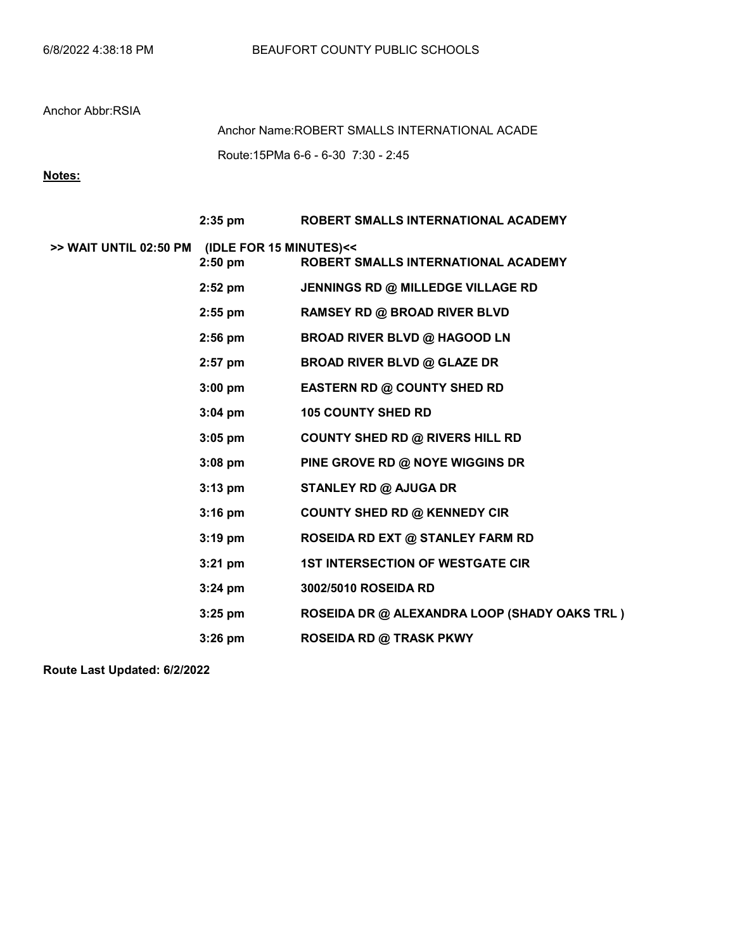Route:15PMa 6-6 - 6-30 7:30 - 2:45 Anchor Name:ROBERT SMALLS INTERNATIONAL ACADE

Notes:

|                                                | $2:35$ pm         | ROBERT SMALLS INTERNATIONAL ACADEMY          |
|------------------------------------------------|-------------------|----------------------------------------------|
| >> WAIT UNTIL 02:50 PM (IDLE FOR 15 MINUTES)<< | $2:50$ pm         | ROBERT SMALLS INTERNATIONAL ACADEMY          |
|                                                | $2:52$ pm         | JENNINGS RD @ MILLEDGE VILLAGE RD            |
|                                                | $2:55$ pm         | <b>RAMSEY RD @ BROAD RIVER BLVD</b>          |
|                                                | $2:56$ pm         | <b>BROAD RIVER BLVD @ HAGOOD LN</b>          |
|                                                | $2:57$ pm         | <b>BROAD RIVER BLVD @ GLAZE DR</b>           |
|                                                | $3:00 \text{ pm}$ | <b>EASTERN RD @ COUNTY SHED RD</b>           |
|                                                | $3:04 \text{ pm}$ | <b>105 COUNTY SHED RD</b>                    |
|                                                | $3:05$ pm         | <b>COUNTY SHED RD @ RIVERS HILL RD</b>       |
|                                                | $3:08$ pm         | PINE GROVE RD @ NOYE WIGGINS DR              |
|                                                | $3:13$ pm         | STANLEY RD @ AJUGA DR                        |
|                                                | $3:16$ pm         | <b>COUNTY SHED RD @ KENNEDY CIR</b>          |
|                                                | $3:19$ pm         | <b>ROSEIDA RD EXT @ STANLEY FARM RD</b>      |
|                                                | $3:21$ pm         | <b>1ST INTERSECTION OF WESTGATE CIR</b>      |
|                                                | $3:24$ pm         | 3002/5010 ROSEIDA RD                         |
|                                                | $3:25$ pm         | ROSEIDA DR @ ALEXANDRA LOOP (SHADY OAKS TRL) |
|                                                | 3:26 pm           | <b>ROSEIDA RD @ TRASK PKWY</b>               |